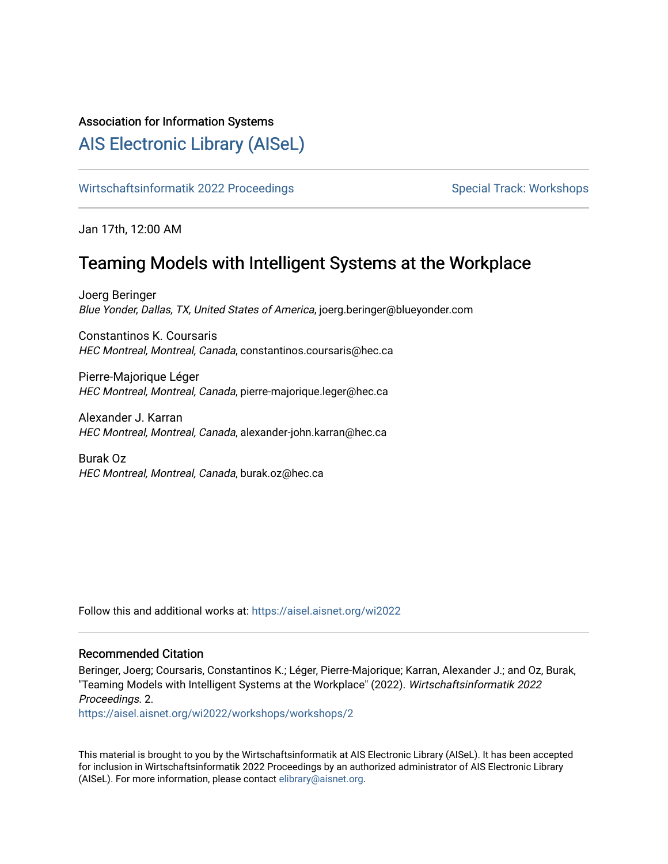## Association for Information Systems

# [AIS Electronic Library \(AISeL\)](https://aisel.aisnet.org/)

[Wirtschaftsinformatik 2022 Proceedings](https://aisel.aisnet.org/wi2022) Special Track: Workshops

Jan 17th, 12:00 AM

# Teaming Models with Intelligent Systems at the Workplace

Joerg Beringer Blue Yonder, Dallas, TX, United States of America, joerg.beringer@blueyonder.com

Constantinos K. Coursaris HEC Montreal, Montreal, Canada, constantinos.coursaris@hec.ca

Pierre-Majorique Léger HEC Montreal, Montreal, Canada, pierre-majorique.leger@hec.ca

Alexander J. Karran HEC Montreal, Montreal, Canada, alexander-john.karran@hec.ca

Burak Oz HEC Montreal, Montreal, Canada, burak.oz@hec.ca

Follow this and additional works at: [https://aisel.aisnet.org/wi2022](https://aisel.aisnet.org/wi2022?utm_source=aisel.aisnet.org%2Fwi2022%2Fworkshops%2Fworkshops%2F2&utm_medium=PDF&utm_campaign=PDFCoverPages) 

### Recommended Citation

Beringer, Joerg; Coursaris, Constantinos K.; Léger, Pierre-Majorique; Karran, Alexander J.; and Oz, Burak, "Teaming Models with Intelligent Systems at the Workplace" (2022). Wirtschaftsinformatik 2022 Proceedings. 2.

[https://aisel.aisnet.org/wi2022/workshops/workshops/2](https://aisel.aisnet.org/wi2022/workshops/workshops/2?utm_source=aisel.aisnet.org%2Fwi2022%2Fworkshops%2Fworkshops%2F2&utm_medium=PDF&utm_campaign=PDFCoverPages)

This material is brought to you by the Wirtschaftsinformatik at AIS Electronic Library (AISeL). It has been accepted for inclusion in Wirtschaftsinformatik 2022 Proceedings by an authorized administrator of AIS Electronic Library (AISeL). For more information, please contact [elibrary@aisnet.org](mailto:elibrary@aisnet.org%3E).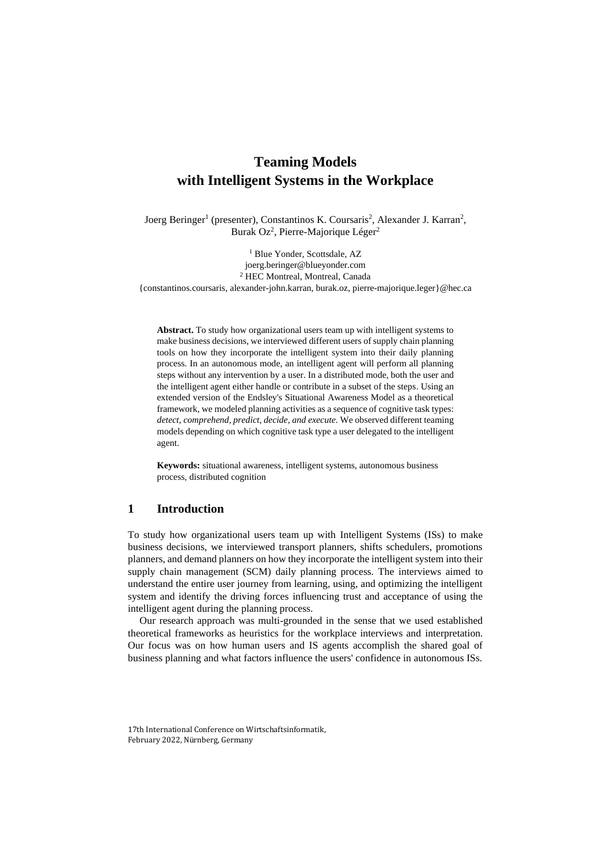# **Teaming Models with Intelligent Systems in the Workplace**

Joerg Beringer<sup>1</sup> (presenter), Constantinos K. Coursaris<sup>2</sup>, Alexander J. Karran<sup>2</sup>, Burak Oz<sup>2</sup>, Pierre-Majorique Léger<sup>2</sup>

<sup>1</sup> Blue Yonder, Scottsdale, AZ joerg.beringer@blueyonder.com <sup>2</sup> HEC Montreal, Montreal, Canada {constantinos.coursaris, alexander-john.karran, burak.oz, pierre-majorique.leger}@hec.ca

**Abstract.** To study how organizational users team up with intelligent systems to make business decisions, we interviewed different users of supply chain planning tools on how they incorporate the intelligent system into their daily planning process. In an autonomous mode, an intelligent agent will perform all planning steps without any intervention by a user. In a distributed mode, both the user and the intelligent agent either handle or contribute in a subset of the steps. Using an extended version of the Endsley's Situational Awareness Model as a theoretical framework, we modeled planning activities as a sequence of cognitive task types: *detect, comprehend, predict, decide, and execute.* We observed different teaming models depending on which cognitive task type a user delegated to the intelligent agent.

**Keywords:** situational awareness, intelligent systems, autonomous business process, distributed cognition

#### **1 Introduction**

To study how organizational users team up with Intelligent Systems (ISs) to make business decisions, we interviewed transport planners, shifts schedulers, promotions planners, and demand planners on how they incorporate the intelligent system into their supply chain management (SCM) daily planning process. The interviews aimed to understand the entire user journey from learning, using, and optimizing the intelligent system and identify the driving forces influencing trust and acceptance of using the intelligent agent during the planning process.

Our research approach was multi-grounded in the sense that we used established theoretical frameworks as heuristics for the workplace interviews and interpretation. Our focus was on how human users and IS agents accomplish the shared goal of business planning and what factors influence the users' confidence in autonomous ISs.

<sup>17</sup>th International Conference on Wirtschaftsinformatik, February 2022, Nürnberg, Germany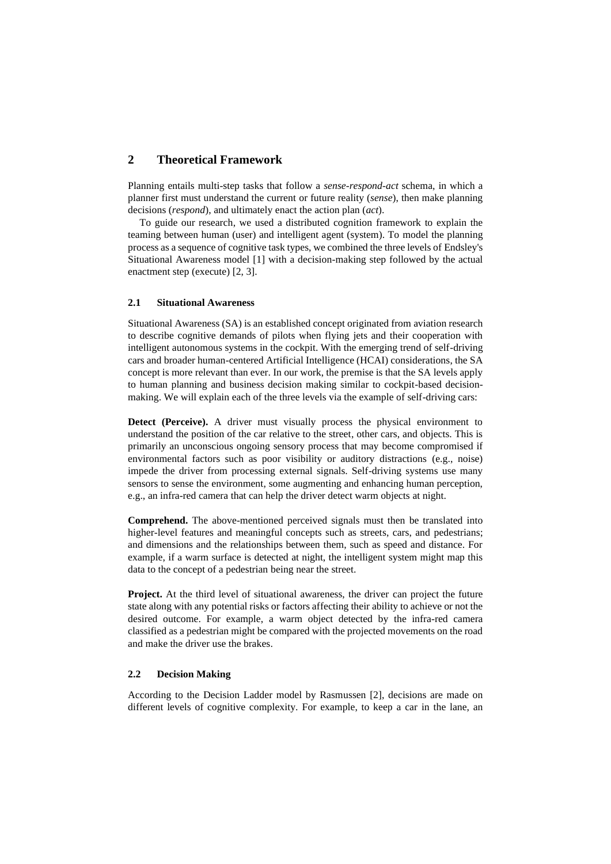### **2 Theoretical Framework**

Planning entails multi-step tasks that follow a *sense*-*respond*-*act* schema, in which a planner first must understand the current or future reality (*sense*), then make planning decisions (*respond*), and ultimately enact the action plan (*act*).

To guide our research, we used a distributed cognition framework to explain the teaming between human (user) and intelligent agent (system). To model the planning process as a sequence of cognitive task types, we combined the three levels of Endsley's Situational Awareness model [1] with a decision-making step followed by the actual enactment step (execute) [2, 3].

#### **2.1 Situational Awareness**

Situational Awareness (SA) is an established concept originated from aviation research to describe cognitive demands of pilots when flying jets and their cooperation with intelligent autonomous systems in the cockpit. With the emerging trend of self-driving cars and broader human-centered Artificial Intelligence (HCAI) considerations, the SA concept is more relevant than ever. In our work, the premise is that the SA levels apply to human planning and business decision making similar to cockpit-based decisionmaking. We will explain each of the three levels via the example of self-driving cars:

**Detect (Perceive).** A driver must visually process the physical environment to understand the position of the car relative to the street, other cars, and objects. This is primarily an unconscious ongoing sensory process that may become compromised if environmental factors such as poor visibility or auditory distractions (e.g., noise) impede the driver from processing external signals. Self-driving systems use many sensors to sense the environment, some augmenting and enhancing human perception, e.g., an infra-red camera that can help the driver detect warm objects at night.

**Comprehend.** The above-mentioned perceived signals must then be translated into higher-level features and meaningful concepts such as streets, cars, and pedestrians; and dimensions and the relationships between them, such as speed and distance. For example, if a warm surface is detected at night, the intelligent system might map this data to the concept of a pedestrian being near the street.

**Project.** At the third level of situational awareness, the driver can project the future state along with any potential risks or factors affecting their ability to achieve or not the desired outcome. For example, a warm object detected by the infra-red camera classified as a pedestrian might be compared with the projected movements on the road and make the driver use the brakes.

#### **2.2 Decision Making**

According to the Decision Ladder model by Rasmussen [2], decisions are made on different levels of cognitive complexity. For example, to keep a car in the lane, an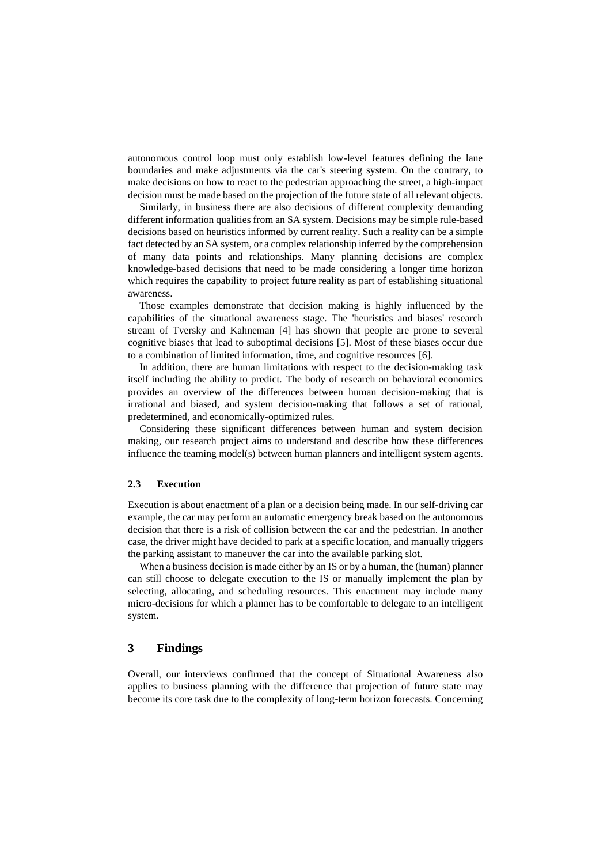autonomous control loop must only establish low-level features defining the lane boundaries and make adjustments via the car's steering system. On the contrary, to make decisions on how to react to the pedestrian approaching the street, a high-impact decision must be made based on the projection of the future state of all relevant objects.

Similarly, in business there are also decisions of different complexity demanding different information qualities from an SA system. Decisions may be simple rule-based decisions based on heuristics informed by current reality. Such a reality can be a simple fact detected by an SA system, or a complex relationship inferred by the comprehension of many data points and relationships. Many planning decisions are complex knowledge-based decisions that need to be made considering a longer time horizon which requires the capability to project future reality as part of establishing situational awareness.

Those examples demonstrate that decision making is highly influenced by the capabilities of the situational awareness stage. The 'heuristics and biases' research stream of Tversky and Kahneman [4] has shown that people are prone to several cognitive biases that lead to suboptimal decisions [5]. Most of these biases occur due to a combination of limited information, time, and cognitive resources [6].

In addition, there are human limitations with respect to the decision-making task itself including the ability to predict. The body of research on behavioral economics provides an overview of the differences between human decision-making that is irrational and biased, and system decision-making that follows a set of rational, predetermined, and economically-optimized rules.

Considering these significant differences between human and system decision making, our research project aims to understand and describe how these differences influence the teaming model(s) between human planners and intelligent system agents.

#### **2.3 Execution**

Execution is about enactment of a plan or a decision being made. In our self-driving car example, the car may perform an automatic emergency break based on the autonomous decision that there is a risk of collision between the car and the pedestrian. In another case, the driver might have decided to park at a specific location, and manually triggers the parking assistant to maneuver the car into the available parking slot.

When a business decision is made either by an IS or by a human, the (human) planner can still choose to delegate execution to the IS or manually implement the plan by selecting, allocating, and scheduling resources. This enactment may include many micro-decisions for which a planner has to be comfortable to delegate to an intelligent system.

### **3 Findings**

Overall, our interviews confirmed that the concept of Situational Awareness also applies to business planning with the difference that projection of future state may become its core task due to the complexity of long-term horizon forecasts. Concerning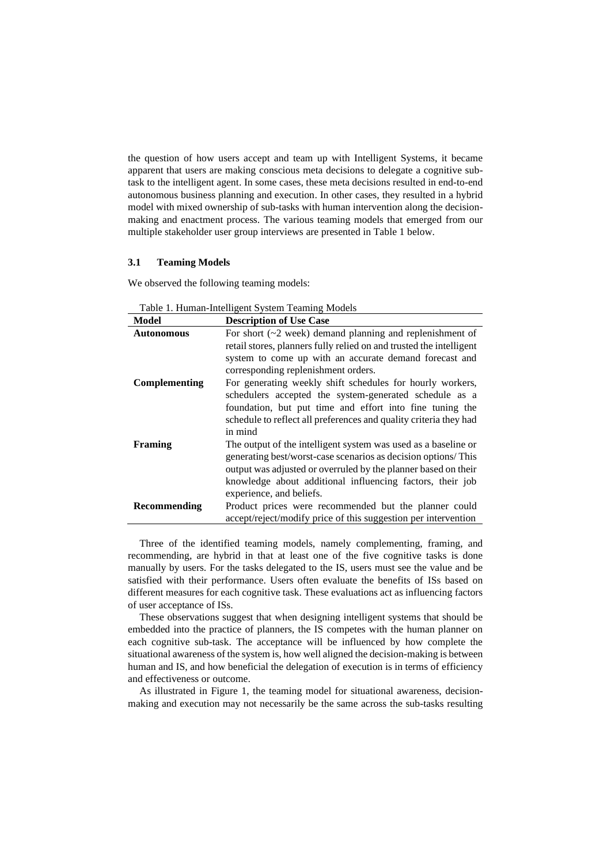the question of how users accept and team up with Intelligent Systems, it became apparent that users are making conscious meta decisions to delegate a cognitive subtask to the intelligent agent. In some cases, these meta decisions resulted in end-to-end autonomous business planning and execution. In other cases, they resulted in a hybrid model with mixed ownership of sub-tasks with human intervention along the decisionmaking and enactment process. The various teaming models that emerged from our multiple stakeholder user group interviews are presented in Table 1 below.

#### **3.1 Teaming Models**

We observed the following teaming models:

| Model             | <b>Description of Use Case</b>                                      |
|-------------------|---------------------------------------------------------------------|
| <b>Autonomous</b> | For short $(\sim 2$ week) demand planning and replenishment of      |
|                   | retail stores, planners fully relied on and trusted the intelligent |
|                   | system to come up with an accurate demand forecast and              |
|                   | corresponding replenishment orders.                                 |
| Complementing     | For generating weekly shift schedules for hourly workers,           |
|                   | schedulers accepted the system-generated schedule as a              |
|                   | foundation, but put time and effort into fine tuning the            |
|                   | schedule to reflect all preferences and quality criteria they had   |
|                   | in mind                                                             |
| Framing           | The output of the intelligent system was used as a baseline or      |
|                   | generating best/worst-case scenarios as decision options/This       |
|                   | output was adjusted or overruled by the planner based on their      |
|                   | knowledge about additional influencing factors, their job           |
|                   | experience, and beliefs.                                            |
| Recommending      | Product prices were recommended but the planner could               |
|                   | accept/reject/modify price of this suggestion per intervention      |

Three of the identified teaming models, namely complementing, framing, and recommending, are hybrid in that at least one of the five cognitive tasks is done manually by users. For the tasks delegated to the IS, users must see the value and be satisfied with their performance. Users often evaluate the benefits of ISs based on different measures for each cognitive task. These evaluations act as influencing factors of user acceptance of ISs.

These observations suggest that when designing intelligent systems that should be embedded into the practice of planners, the IS competes with the human planner on each cognitive sub-task. The acceptance will be influenced by how complete the situational awareness of the system is, how well aligned the decision-making is between human and IS, and how beneficial the delegation of execution is in terms of efficiency and effectiveness or outcome.

As illustrated in Figure 1, the teaming model for situational awareness, decisionmaking and execution may not necessarily be the same across the sub-tasks resulting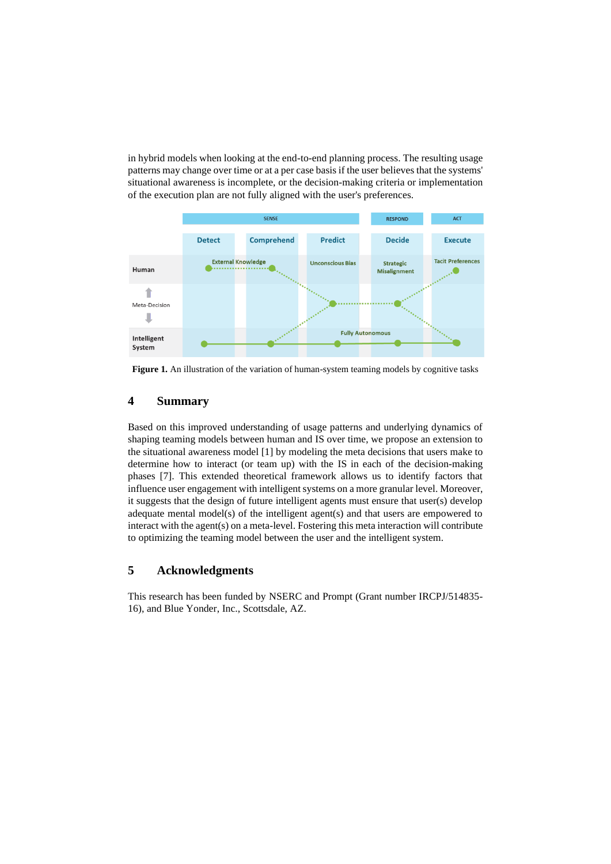in hybrid models when looking at the end-to-end planning process. The resulting usage patterns may change over time or at a per case basis if the user believes that the systems' situational awareness is incomplete, or the decision-making criteria or implementation of the execution plan are not fully aligned with the user's preferences.



Figure 1. An illustration of the variation of human-system teaming models by cognitive tasks

## **4 Summary**

Based on this improved understanding of usage patterns and underlying dynamics of shaping teaming models between human and IS over time, we propose an extension to the situational awareness model [1] by modeling the meta decisions that users make to determine how to interact (or team up) with the IS in each of the decision-making phases [7]. This extended theoretical framework allows us to identify factors that influence user engagement with intelligent systems on a more granular level. Moreover, it suggests that the design of future intelligent agents must ensure that user(s) develop adequate mental model(s) of the intelligent agent(s) and that users are empowered to interact with the agent(s) on a meta-level. Fostering this meta interaction will contribute to optimizing the teaming model between the user and the intelligent system.

## **5 Acknowledgments**

This research has been funded by NSERC and Prompt (Grant number IRCPJ/514835- 16), and Blue Yonder, Inc., Scottsdale, AZ.